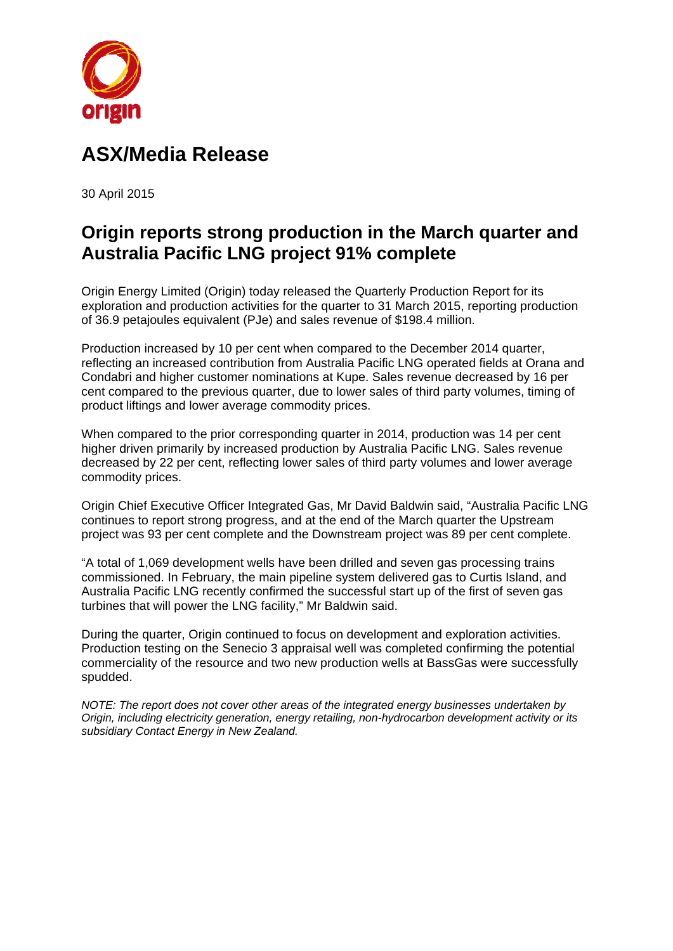

# **ASX X/Media a Relea ase**

30 Apri l 2015

# Origin reports strong production in the March quarter and **Australia Pacific LNG project 91% complete**

Origin Energy Limited (Origin) today released the Quarterly Production Report for its exploration and production activities for the quarter to 31 March 2015, reporting production of 36.9 petajoules equivalent (PJe) and sales revenue of \$198.4 million.

Production increased by 10 per cent when compared to the December 2014 quarter, reflecting an increased contribution from Australia Pacific LNG operated fields at Orana and Condabri and higher customer nominations at Kupe. Sales revenue decreased by 16 per cent compared to the previous quarter, due to lower sales of third party volumes, timing of product liftings and lower average commodity prices.

When compared to the prior corresponding quarter in 2014, production was 14 per cent higher driven primarily by increased production by Australia Pacific LNG. Sales revenue decreased by 22 per cent, reflecting lower sales of third party volumes and lower average commodity prices.

Origin Chief Executive Officer Integrated Gas, Mr David Baldwin said, "Australia Pacific LNG continues to report strong progress, and at the end of the March quarter the Upstream continues to report strong progress, and at the end of the March quarter the Upstream<br>project was 93 per cent complete and the Downstream project was 89 per cent complete.

"A total of 1,069 development wells have been drilled and seven gas processing trains commissioned. In February, the main pipeline system delivered gas to Curtis Island, and Australia Pacific LNG recently confirmed the successful start up of the first of seven gas turbines that will power the LNG facility," Mr Baldwin said.

During the quarter, Origin continued to focus on development and exploration activities. Production testing on the Senecio 3 appraisal well was completed confirming the potential commerciality of the resource and two new production wells at BassGas were successfully spudded.

*NOTE: The report does not cover other areas of the integrated energy businesses undertaken by Origin, including electricity generation, energy retailing, non-hydrocarbon development activity or its* subsidiary Contact Energy in New Zealand.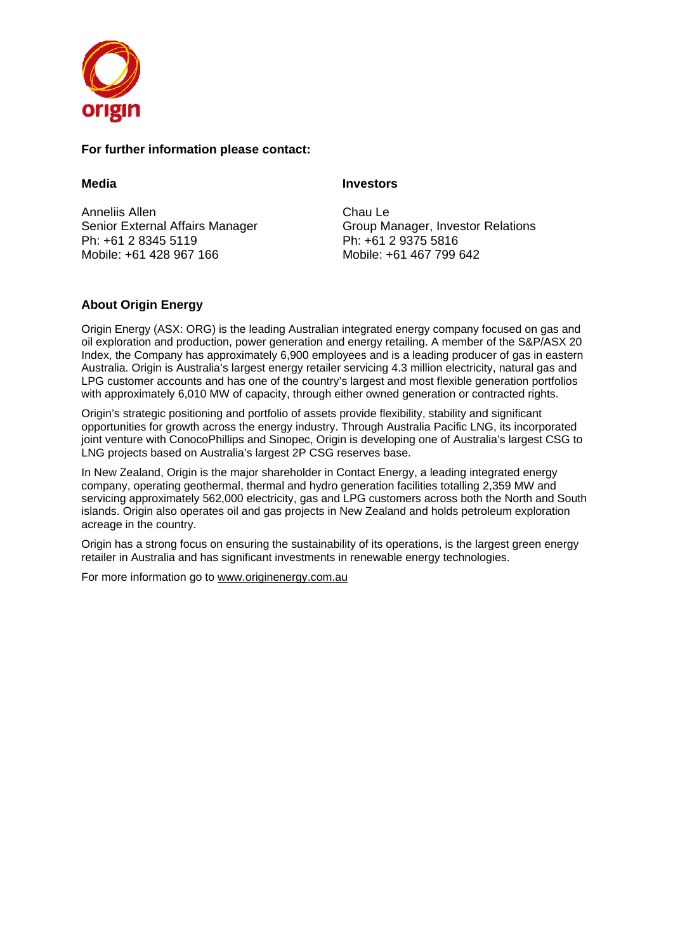

#### For further information please contact:

#### **Media**

Anneliis s Allen Senior External Affairs Manager Ph: +61 2 8345 5119 Mobile: +61 428 967 166

#### **Inve estors**

Cha au Le Group Manager, Investor Relations Ph: +61 2 9375 5 5816 Mob bile: +61 467 7 799 642

# **About Origin Energy**

Origin Energy (ASX: ORG) is the leading Australian integrated energy company focused on gas and oil exploration and production, power generation and energy retailing. A member of the S&P/ASX 20 Index, the Company has approximately 6,900 employees and is a leading producer of gas in eastern Australia. Origin is Australia's largest energy retailer servicing 4.3 million electricity, natural gas and LPG customer accounts and has one of the country's largest and most flexible generation portfolios with approximately 6,010 MW of capacity, through either owned generation or contracted rights.

Origin's strategic positioning and portfolio of assets provide flexibility, stability and significant opportunities for growth across the energy industry. Through Australia Pacific LNG, its incorporated joint venture with ConocoPhillips and Sinopec, Origin is developing one of Australia's largest CSG to LNG projects based on Australia's largest 2P CSG reserves base.

In New Zealand, Origin is the major shareholder in Contact Energy, a leading integrated energy company, operating geothermal, thermal and hydro generation facilities totalling 2,359 MW and servicing approximately 562,000 electricity, gas and LPG customers across both the North and South islands. Origin also operates oil and gas projects in New Zealand and holds petroleum exploration acreage in the country.

Origin has a strong focus on ensuring the sustainability of its operations, is the largest green energy retailer in Australia and has significant investments in renewable energy technologies.

For more information go to www.originenergy.com.au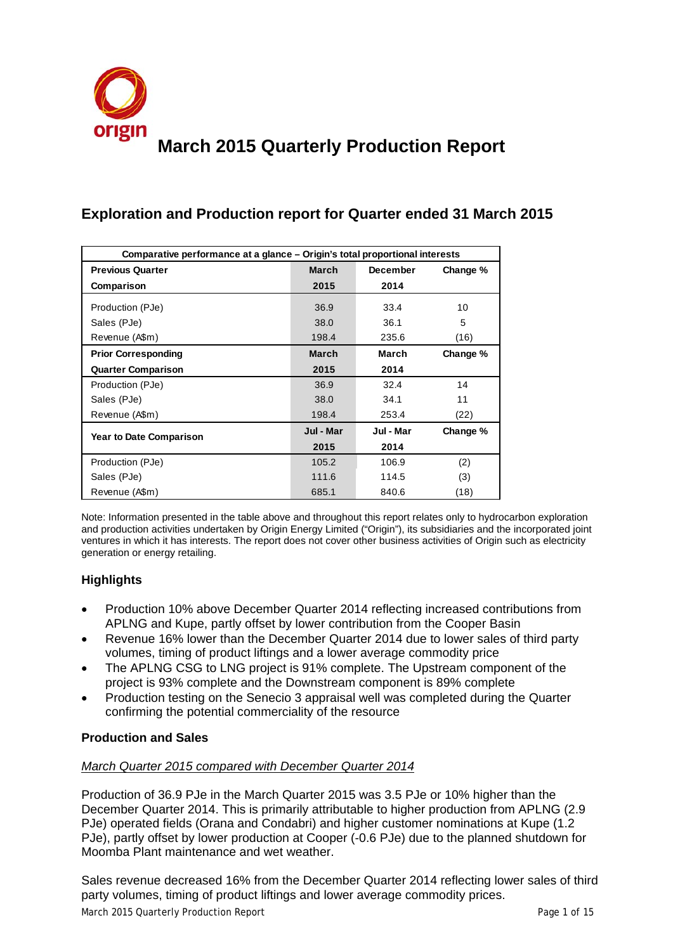

# **Exploration and Production report for Quarter ended 31 March 2015**

| Comparative performance at a glance – Origin's total proportional interests |              |           |          |
|-----------------------------------------------------------------------------|--------------|-----------|----------|
| <b>Previous Quarter</b>                                                     | <b>March</b> | December  | Change % |
| Comparison                                                                  | 2015         | 2014      |          |
| Production (PJe)                                                            | 36.9         | 33.4      | 10       |
| Sales (PJe)                                                                 | 38.0         | 36.1      | 5        |
| Revenue (A\$m)                                                              | 198.4        | 235.6     | (16)     |
| <b>Prior Corresponding</b>                                                  | <b>March</b> | March     | Change % |
| <b>Quarter Comparison</b>                                                   | 2015         | 2014      |          |
| Production (PJe)                                                            | 36.9         | 32.4      | 14       |
| Sales (PJe)                                                                 | 38.0         | 34.1      | 11       |
| Revenue (A\$m)                                                              | 198.4        | 253.4     | (22)     |
| <b>Year to Date Comparison</b>                                              | Jul - Mar    | Jul - Mar | Change % |
|                                                                             | 2015         | 2014      |          |
| Production (PJe)                                                            | 105.2        | 106.9     | (2)      |
| Sales (PJe)                                                                 | 111.6        | 114.5     | (3)      |
| Revenue (A\$m)                                                              | 685.1        | 840.6     | (18)     |

Note: Information presented in the table above and throughout this report relates only to hydrocarbon exploration and production activities undertaken by Origin Energy Limited ("Origin"), its subsidiaries and the incorporated joint ventures in which it has interests. The report does not cover other business activities of Origin such as electricity generation or energy retailing.

# **Highlights**

- Production 10% above December Quarter 2014 reflecting increased contributions from APLNG and Kupe, partly offset by lower contribution from the Cooper Basin
- Revenue 16% lower than the December Quarter 2014 due to lower sales of third party volumes, timing of product liftings and a lower average commodity price
- The APLNG CSG to LNG project is 91% complete. The Upstream component of the project is 93% complete and the Downstream component is 89% complete
- Production testing on the Senecio 3 appraisal well was completed during the Quarter confirming the potential commerciality of the resource

# **Production and Sales**

# *March Quarter 2015 compared with December Quarter 2014*

Production of 36.9 PJe in the March Quarter 2015 was 3.5 PJe or 10% higher than the December Quarter 2014. This is primarily attributable to higher production from APLNG (2.9 PJe) operated fields (Orana and Condabri) and higher customer nominations at Kupe (1.2 PJe), partly offset by lower production at Cooper (-0.6 PJe) due to the planned shutdown for Moomba Plant maintenance and wet weather.

Sales revenue decreased 16% from the December Quarter 2014 reflecting lower sales of third party volumes, timing of product liftings and lower average commodity prices.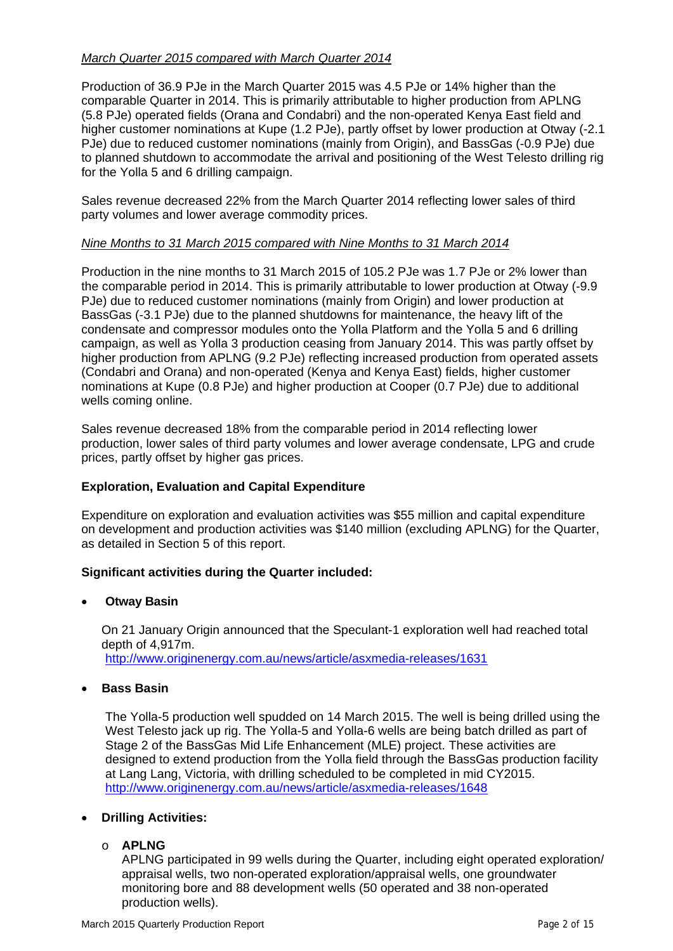# *March Quarter 2015 compared with March Quarter 2014*

Production of 36.9 PJe in the March Quarter 2015 was 4.5 PJe or 14% higher than the comparable Quarter in 2014. This is primarily attributable to higher production from APLNG (5.8 PJe) operated fields (Orana and Condabri) and the non-operated Kenya East field and higher customer nominations at Kupe (1.2 PJe), partly offset by lower production at Otway (-2.1 PJe) due to reduced customer nominations (mainly from Origin), and BassGas (-0.9 PJe) due to planned shutdown to accommodate the arrival and positioning of the West Telesto drilling rig for the Yolla 5 and 6 drilling campaign.

Sales revenue decreased 22% from the March Quarter 2014 reflecting lower sales of third party volumes and lower average commodity prices.

# *Nine Months to 31 March 2015 compared with Nine Months to 31 March 2014*

Production in the nine months to 31 March 2015 of 105.2 PJe was 1.7 PJe or 2% lower than the comparable period in 2014. This is primarily attributable to lower production at Otway (-9.9 PJe) due to reduced customer nominations (mainly from Origin) and lower production at BassGas (-3.1 PJe) due to the planned shutdowns for maintenance, the heavy lift of the condensate and compressor modules onto the Yolla Platform and the Yolla 5 and 6 drilling campaign, as well as Yolla 3 production ceasing from January 2014. This was partly offset by higher production from APLNG (9.2 PJe) reflecting increased production from operated assets (Condabri and Orana) and non-operated (Kenya and Kenya East) fields, higher customer nominations at Kupe (0.8 PJe) and higher production at Cooper (0.7 PJe) due to additional wells coming online.

Sales revenue decreased 18% from the comparable period in 2014 reflecting lower production, lower sales of third party volumes and lower average condensate, LPG and crude prices, partly offset by higher gas prices.

# **Exploration, Evaluation and Capital Expenditure**

Expenditure on exploration and evaluation activities was \$55 million and capital expenditure on development and production activities was \$140 million (excluding APLNG) for the Quarter, as detailed in Section 5 of this report.

# **Significant activities during the Quarter included:**

• **Otway Basin** 

On 21 January Origin announced that the Speculant-1 exploration well had reached total depth of 4,917m. http://www.originenergy.com.au/news/article/asxmedia-releases/1631

• **Bass Basin** 

The Yolla-5 production well spudded on 14 March 2015. The well is being drilled using the West Telesto jack up rig. The Yolla-5 and Yolla-6 wells are being batch drilled as part of Stage 2 of the BassGas Mid Life Enhancement (MLE) project. These activities are designed to extend production from the Yolla field through the BassGas production facility at Lang Lang, Victoria, with drilling scheduled to be completed in mid CY2015. http://www.originenergy.com.au/news/article/asxmedia-releases/1648

# • **Drilling Activities:**

o **APLNG** 

APLNG participated in 99 wells during the Quarter, including eight operated exploration/ appraisal wells, two non-operated exploration/appraisal wells, one groundwater monitoring bore and 88 development wells (50 operated and 38 non-operated production wells).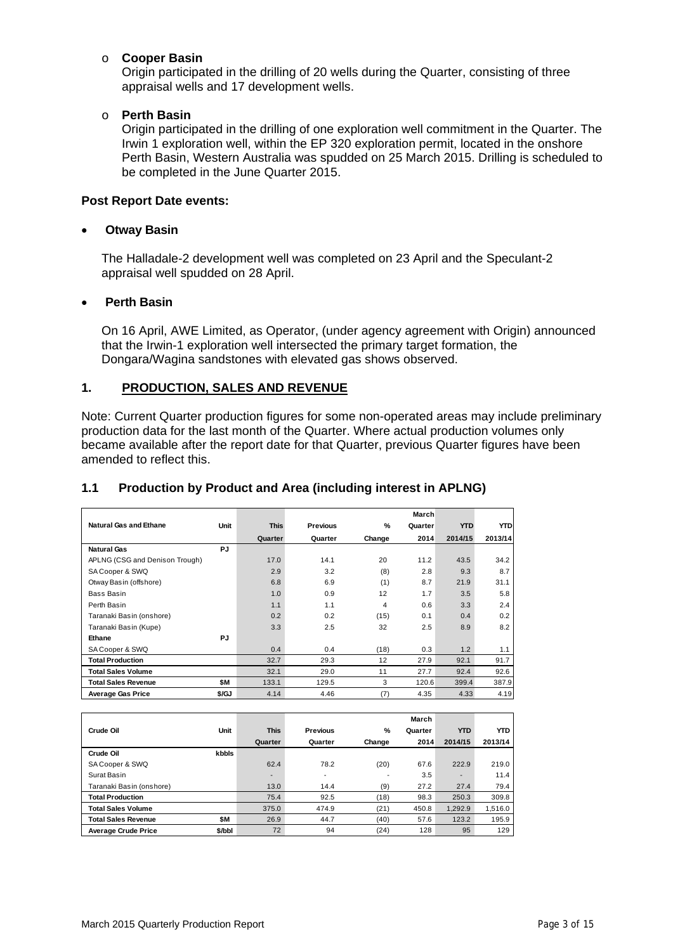#### o **Cooper Basin**

Origin participated in the drilling of 20 wells during the Quarter, consisting of three appraisal wells and 17 development wells.

#### o **Perth Basin**

Origin participated in the drilling of one exploration well commitment in the Quarter. The Irwin 1 exploration well, within the EP 320 exploration permit, located in the onshore Perth Basin, Western Australia was spudded on 25 March 2015. Drilling is scheduled to be completed in the June Quarter 2015.

#### **Post Report Date events:**

#### • **Otway Basin**

The Halladale-2 development well was completed on 23 April and the Speculant-2 appraisal well spudded on 28 April.

#### • **Perth Basin**

On 16 April, AWE Limited, as Operator, (under agency agreement with Origin) announced that the Irwin-1 exploration well intersected the primary target formation, the Dongara/Wagina sandstones with elevated gas shows observed.

# **1. PRODUCTION, SALES AND REVENUE**

Note: Current Quarter production figures for some non-operated areas may include preliminary production data for the last month of the Quarter. Where actual production volumes only became available after the report date for that Quarter, previous Quarter figures have been amended to reflect this.

|                                |       |             |          |               | March   |            |            |
|--------------------------------|-------|-------------|----------|---------------|---------|------------|------------|
| <b>Natural Gas and Ethane</b>  | Unit  | <b>This</b> | Previous | $\frac{9}{6}$ | Quarter | <b>YTD</b> | <b>YTD</b> |
|                                |       | Quarter     | Quarter  | Change        | 2014    | 2014/15    | 2013/14    |
| <b>Natural Gas</b>             | PJ    |             |          |               |         |            |            |
| APLNG (CSG and Denison Trough) |       | 17.0        | 14.1     | 20            | 11.2    | 43.5       | 34.2       |
| SA Cooper & SWQ                |       | 2.9         | 3.2      | (8)           | 2.8     | 9.3        | 8.7        |
| Otway Basin (offshore)         |       | 6.8         | 6.9      | (1)           | 8.7     | 21.9       | 31.1       |
| Bass Basin                     |       | 1.0         | 0.9      | 12            | 1.7     | 3.5        | 5.8        |
| Perth Basin                    |       | 1.1         | 1.1      | 4             | 0.6     | 3.3        | 2.4        |
| Taranaki Basin (onshore)       |       | 0.2         | 0.2      | (15)          | 0.1     | 0.4        | 0.2        |
| Taranaki Basin (Kupe)          |       | 3.3         | 2.5      | 32            | 2.5     | 8.9        | 8.2        |
| Ethane                         | PJ    |             |          |               |         |            |            |
| SA Cooper & SWQ                |       | 0.4         | 0.4      | (18)          | 0.3     | 1.2        | 1.1        |
| <b>Total Production</b>        |       | 32.7        | 29.3     | 12            | 27.9    | 92.1       | 91.7       |
| <b>Total Sales Volume</b>      |       | 32.1        | 29.0     | 11            | 27.7    | 92.4       | 92.6       |
| <b>Total Sales Revenue</b>     | \$M   | 133.1       | 129.5    | 3             | 120.6   | 399.4      | 387.9      |
| <b>Average Gas Price</b>       | \$/GJ | 4.14        | 4.46     | (7)           | 4.35    | 4.33       | 4.19       |

# **1.1 Production by Product and Area (including interest in APLNG)**

|                            |        |                          |                          |        | March   |                          |            |
|----------------------------|--------|--------------------------|--------------------------|--------|---------|--------------------------|------------|
| Crude Oil                  | Unit   | <b>This</b>              | Previous                 | %      | Quarter | <b>YTD</b>               | <b>YTD</b> |
|                            |        | Quarter                  | Quarter                  | Change | 2014    | 2014/15                  | 2013/14    |
| Crude Oil                  | kbbls  |                          |                          |        |         |                          |            |
| SA Cooper & SWQ            |        | 62.4                     | 78.2                     | (20)   | 67.6    | 222.9                    | 219.0      |
| Surat Basin                |        | $\overline{\phantom{0}}$ | $\overline{\phantom{a}}$ |        | 3.5     | $\overline{\phantom{0}}$ | 11.4       |
| Taranaki Basin (onshore)   |        | 13.0                     | 14.4                     | (9)    | 27.2    | 27.4                     | 79.4       |
| <b>Total Production</b>    |        | 75.4                     | 92.5                     | (18)   | 98.3    | 250.3                    | 309.8      |
| Total Sales Volume         |        | 375.0                    | 474.9                    | (21)   | 450.8   | 1.292.9                  | 1,516.0    |
| Total Sales Revenue        | \$Μ    | 26.9                     | 44.7                     | (40)   | 57.6    | 123.2                    | 195.9      |
| <b>Average Crude Price</b> | \$/bbl | 72                       | 94                       | (24)   | 128     | 95                       | 129        |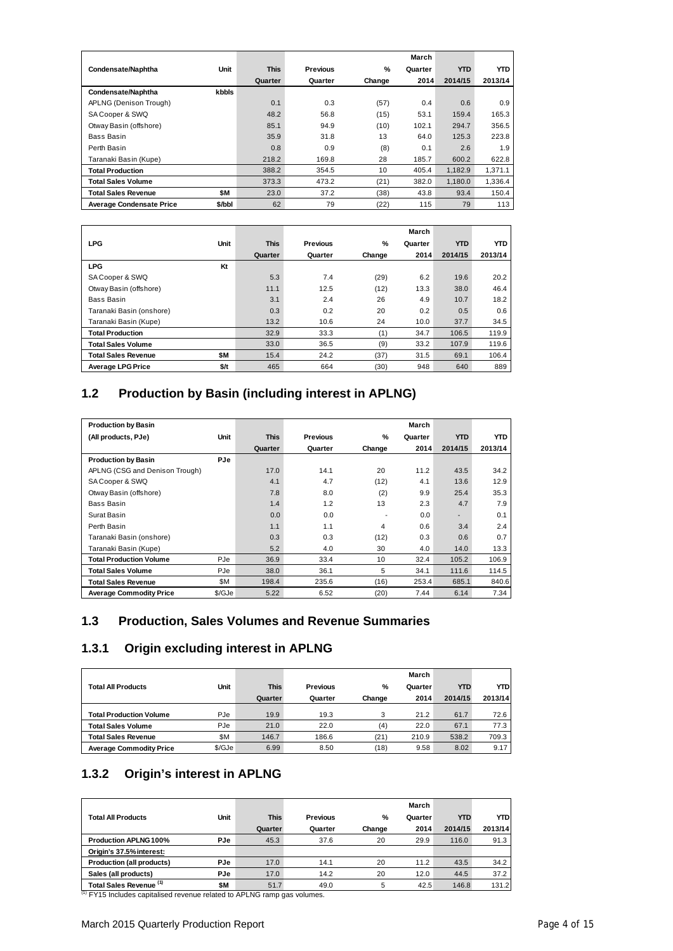|                                 |        |             |          |        | March   |            |         |
|---------------------------------|--------|-------------|----------|--------|---------|------------|---------|
| Condensate/Naphtha              | Unit   | <b>This</b> | Previous | %      | Quarter | <b>YTD</b> | YTD     |
|                                 |        | Quarter     | Quarter  | Change | 2014    | 2014/15    | 2013/14 |
| Condensate/Naphtha              | kbbls  |             |          |        |         |            |         |
| APLNG (Denison Trough)          |        | 0.1         | 0.3      | (57)   | 0.4     | 0.6        | 0.9     |
| SA Cooper & SWQ                 |        | 48.2        | 56.8     | (15)   | 53.1    | 159.4      | 165.3   |
| Otway Basin (offshore)          |        | 85.1        | 94.9     | (10)   | 102.1   | 294.7      | 356.5   |
| Bass Basin                      |        | 35.9        | 31.8     | 13     | 64.0    | 125.3      | 223.8   |
| Perth Basin                     |        | 0.8         | 0.9      | (8)    | 0.1     | 2.6        | 1.9     |
| Taranaki Basin (Kupe)           |        | 218.2       | 169.8    | 28     | 185.7   | 600.2      | 622.8   |
| <b>Total Production</b>         |        | 388.2       | 354.5    | 10     | 405.4   | 1.182.9    | 1.371.1 |
| Total Sales Volume              |        | 373.3       | 473.2    | (21)   | 382.0   | 1.180.0    | 1.336.4 |
| Total Sales Revenue             | \$M    | 23.0        | 37.2     | (38)   | 43.8    | 93.4       | 150.4   |
| <b>Average Condensate Price</b> | \$/bbl | 62          | 79       | (22)   | 115     | 79         | 113     |

|                          |      |             |          |               | March   |            |            |
|--------------------------|------|-------------|----------|---------------|---------|------------|------------|
| <b>LPG</b>               | Unit | <b>This</b> | Previous | $\frac{9}{6}$ | Quarter | <b>YTD</b> | <b>YTD</b> |
|                          |      | Quarter     | Quarter  | Change        | 2014    | 2014/15    | 2013/14    |
| <b>LPG</b>               | Kt   |             |          |               |         |            |            |
| SA Cooper & SWQ          |      | 5.3         | 7.4      | (29)          | 6.2     | 19.6       | 20.2       |
| Otway Basin (offshore)   |      | 11.1        | 12.5     | (12)          | 13.3    | 38.0       | 46.4       |
| Bass Basin               |      | 3.1         | 2.4      | 26            | 4.9     | 10.7       | 18.2       |
| Taranaki Basin (onshore) |      | 0.3         | 0.2      | 20            | 0.2     | 0.5        | 0.6        |
| Taranaki Basin (Kupe)    |      | 13.2        | 10.6     | 24            | 10.0    | 37.7       | 34.5       |
| <b>Total Production</b>  |      | 32.9        | 33.3     | (1)           | 34.7    | 106.5      | 119.9      |
| Total Sales Volume       |      | 33.0        | 36.5     | (9)           | 33.2    | 107.9      | 119.6      |
| Total Sales Revenue      | \$M  | 15.4        | 24.2     | (37)          | 31.5    | 69.1       | 106.4      |
| <b>Average LPG Price</b> | \$/t | 465         | 664      | (30)          | 948     | 640        | 889        |

# **1.2 Production by Basin (including interest in APLNG)**

| <b>Production by Basin</b>     |        |             |          |               | March   |                          |            |
|--------------------------------|--------|-------------|----------|---------------|---------|--------------------------|------------|
| (All products, PJe)            | Unit   | <b>This</b> | Previous | $\frac{9}{6}$ | Quarter | <b>YTD</b>               | <b>YTD</b> |
|                                |        | Quarter     | Quarter  | Change        | 2014    | 2014/15                  | 2013/14    |
| <b>Production by Basin</b>     | PJe    |             |          |               |         |                          |            |
| APLNG (CSG and Denison Trough) |        | 17.0        | 14.1     | 20            | 11.2    | 43.5                     | 34.2       |
| SA Cooper & SWQ                |        | 4.1         | 4.7      | (12)          | 4.1     | 13.6                     | 12.9       |
| Otway Basin (offshore)         |        | 7.8         | 8.0      | (2)           | 9.9     | 25.4                     | 35.3       |
| Bass Basin                     |        | 1.4         | 1.2      | 13            | 2.3     | 4.7                      | 7.9        |
| Surat Basin                    |        | 0.0         | 0.0      |               | 0.0     | $\overline{\phantom{0}}$ | 0.1        |
| Perth Basin                    |        | 1.1         | 1.1      | 4             | 0.6     | 3.4                      | 2.4        |
| Taranaki Basin (onshore)       |        | 0.3         | 0.3      | (12)          | 0.3     | 0.6                      | 0.7        |
| Taranaki Basin (Kupe)          |        | 5.2         | 4.0      | 30            | 4.0     | 14.0                     | 13.3       |
| <b>Total Production Volume</b> | PJe    | 36.9        | 33.4     | 10            | 32.4    | 105.2                    | 106.9      |
| Total Sales Volume             | PJe    | 38.0        | 36.1     | 5             | 34.1    | 111.6                    | 114.5      |
| Total Sales Revenue            | \$Μ    | 198.4       | 235.6    | (16)          | 253.4   | 685.1                    | 840.6      |
| <b>Average Commodity Price</b> | \$/GJe | 5.22        | 6.52     | (20)          | 7.44    | 6.14                     | 7.34       |

# **1.3 Production, Sales Volumes and Revenue Summaries**

# **1.3.1 Origin excluding interest in APLNG**

|                                |        |             |          |        | March   |            |            |
|--------------------------------|--------|-------------|----------|--------|---------|------------|------------|
| Total All Products             | Unit   | <b>This</b> | Previous | %      | Quarter | <b>YTD</b> | <b>YTD</b> |
|                                |        | Quarter     | Quarter  | Change | 2014    | 2014/15    | 2013/14    |
| <b>Total Production Volume</b> | PJe    | 19.9        | 19.3     | 3      | 21.2    | 61.7       | 72.6       |
| <b>Total Sales Volume</b>      | PJe    | 21.0        | 22.0     | (4)    | 22.0    | 67.1       | 77.3       |
| Total Sales Revenue            | \$Μ    | 146.7       | 186.6    | (21)   | 210.9   | 538.2      | 709.3      |
| <b>Average Commodity Price</b> | \$/GJe | 6.99        | 8.50     | (18)   | 9.58    | 8.02       | 9.17       |

# **1.3.2 Origin's interest in APLNG**

|                                           |      |             |          |        | March   |            |            |
|-------------------------------------------|------|-------------|----------|--------|---------|------------|------------|
| <b>Total All Products</b>                 | Unit | <b>This</b> | Previous | %      | Quarter | <b>YTD</b> | <b>YTD</b> |
|                                           |      | Quarter     | Quarter  | Change | 2014    | 2014/15    | 2013/14    |
| <b>Production APLNG 100%</b>              | PJe  | 45.3        | 37.6     | 20     | 29.9    | 116.0      | 91.3       |
| Origin's 37.5% interest:                  |      |             |          |        |         |            |            |
| Production (all products)                 | PJe  | 17.0        | 14.1     | 20     | 11.2    | 43.5       | 34.2       |
| Sales (all products)                      | PJe  | 17.0        | 14.2     | 20     | 12.0    | 44.5       | 37.2       |
| Total Sales Revenue (1)<br>$\overline{1}$ | \$M  | 51.7        | 49.0     | 5      | 42.5    | 146.8      | 131.2      |

<sup>(1)</sup> FY15 Includes capitalised revenue related to APLNG ramp gas volumes.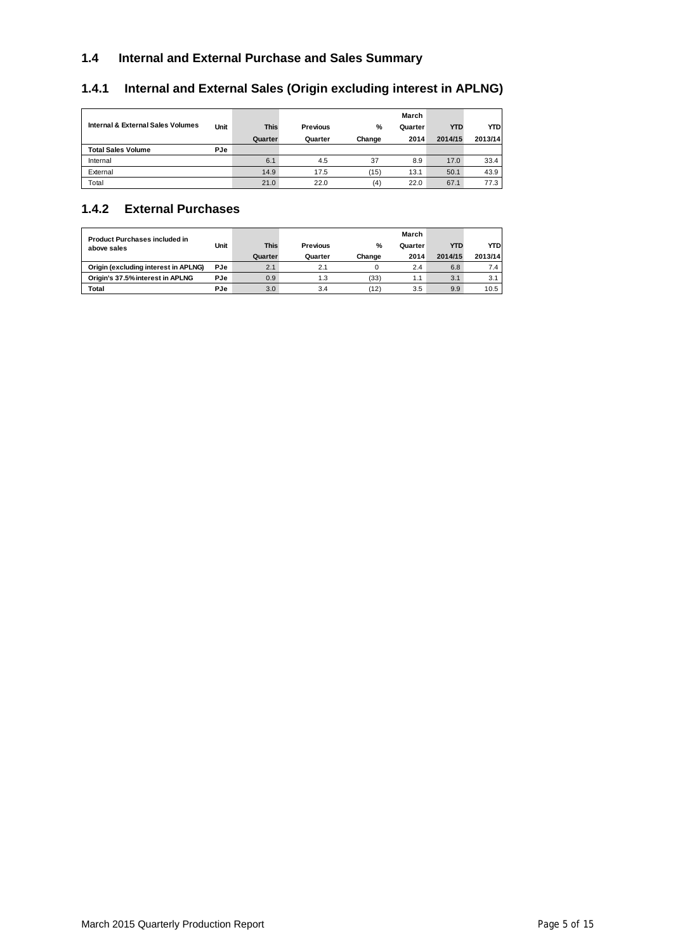# **1.4 Internal and External Purchase and Sales Summary**

# **1.4.1 Internal and External Sales (Origin excluding interest in APLNG)**

|                                   |            |             |          |        | March   |            |            |
|-----------------------------------|------------|-------------|----------|--------|---------|------------|------------|
| Internal & External Sales Volumes | Unit       | <b>This</b> | Previous | %      | Quarter | <b>YTD</b> | <b>YTD</b> |
|                                   |            | Quarter     | Quarter  | Change | 2014    | 2014/15    | 2013/14    |
| <b>Total Sales Volume</b>         | <b>PJe</b> |             |          |        |         |            |            |
| Internal                          |            | 6.1         | 4.5      | 37     | 8.9     | 17.0       | 33.4       |
| External                          |            | 14.9        | 17.5     | (15)   | 13.1    | 50.1       | 43.9       |
| Total                             |            | 21.0        | 22.0     | (4)    | 22.0    | 67.1       | 77.3       |

# **1.4.2 External Purchases**

| <b>Product Purchases included in</b><br>above sales | Unit       | <b>This</b><br>Quarter | Previous<br>Quarter | %<br>Change | March<br>Quarter<br>2014 | <b>YTD</b><br>2014/15 | YTD<br>2013/14 |
|-----------------------------------------------------|------------|------------------------|---------------------|-------------|--------------------------|-----------------------|----------------|
| Origin (excluding interest in APLNG)                | PJe        | 2.1                    | 2.1                 |             | 2.4                      | 6.8                   | 7.4            |
| Origin's 37.5% interest in APLNG                    | <b>PJe</b> | 0.9                    | 1.3                 | (33)        | 1.1                      | 3.1                   | 3.1            |
| Total                                               | PJe        | 3.0                    | 3.4                 | (12)        | 3.5                      | 9.9                   | 10.5           |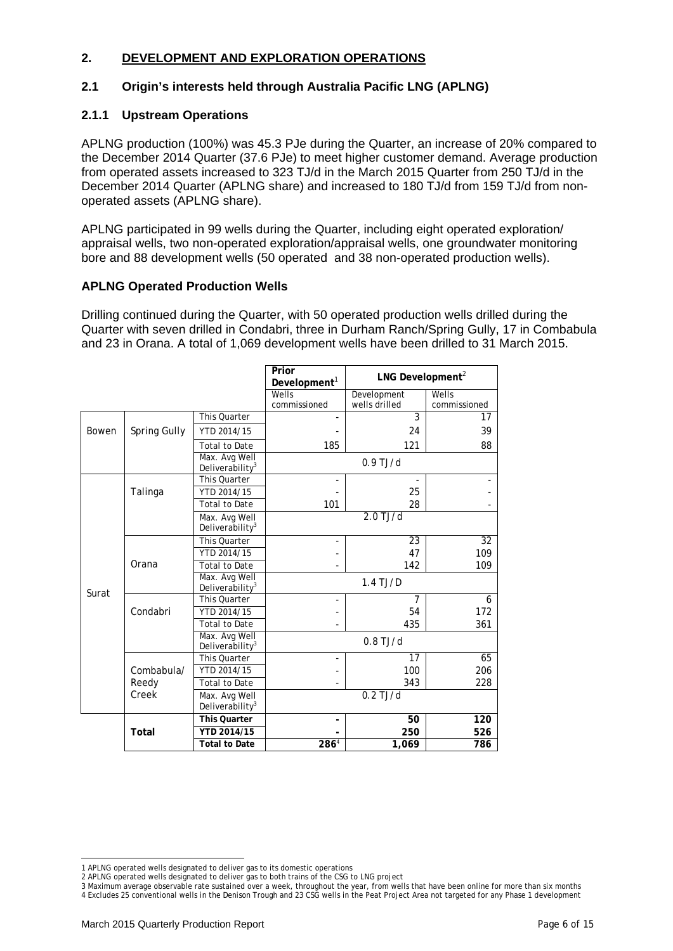# **2. DEVELOPMENT AND EXPLORATION OPERATIONS**

#### **2.1 Origin's interests held through Australia Pacific LNG (APLNG)**

#### **2.1.1 Upstream Operations**

APLNG production (100%) was 45.3 PJe during the Quarter, an increase of 20% compared to the December 2014 Quarter (37.6 PJe) to meet higher customer demand. Average production from operated assets increased to 323 TJ/d in the March 2015 Quarter from 250 TJ/d in the December 2014 Quarter (APLNG share) and increased to 180 TJ/d from 159 TJ/d from nonoperated assets (APLNG share).

APLNG participated in 99 wells during the Quarter, including eight operated exploration/ appraisal wells, two non-operated exploration/appraisal wells, one groundwater monitoring bore and 88 development wells (50 operated and 38 non-operated production wells).

#### **APLNG Operated Production Wells**

Drilling continued during the Quarter, with 50 operated production wells drilled during the Quarter with seven drilled in Condabri, three in Durham Ranch/Spring Gully, 17 in Combabula and 23 in Orana. A total of 1,069 development wells have been drilled to 31 March 2015.

|       |              |                                              | Prior<br>Development <sup>1</sup> | LNG Development <sup>2</sup> |                          |  |  |
|-------|--------------|----------------------------------------------|-----------------------------------|------------------------------|--------------------------|--|--|
|       |              |                                              | Wells                             | Development                  | Wells                    |  |  |
|       |              |                                              | commissioned                      | wells drilled                | commissioned             |  |  |
|       |              | This Ouarter                                 |                                   | 3                            | 17                       |  |  |
| Bowen | Spring Gully | YTD 2014/15                                  |                                   | 24                           | 39                       |  |  |
|       |              | <b>Total to Date</b>                         | 185                               | 121                          | 88                       |  |  |
|       |              | Max. Avg Well<br>Deliverability <sup>3</sup> |                                   | $0.9$ TJ/d                   |                          |  |  |
|       |              | This Quarter                                 |                                   |                              | $\overline{\phantom{a}}$ |  |  |
|       | Talinga      | YTD 2014/15                                  |                                   | 25                           |                          |  |  |
|       |              | <b>Total to Date</b>                         | 101                               | 28                           |                          |  |  |
|       |              | Max. Avg Well<br>Deliverability <sup>3</sup> | $2.0$ TJ/d                        |                              |                          |  |  |
|       |              | This Quarter                                 | $\overline{\phantom{a}}$          | 23                           | 32                       |  |  |
|       |              | YTD 2014/15                                  |                                   | 47                           | 109                      |  |  |
|       | Orana        | <b>Total to Date</b>                         |                                   | 142                          | 109                      |  |  |
| Surat |              | Max. Avg Well<br>Deliverability <sup>3</sup> |                                   | $1.4$ TJ/D                   |                          |  |  |
|       |              | This Ouarter                                 |                                   | 7                            | 6                        |  |  |
|       | Condabri     | YTD 2014/15                                  |                                   | 54                           | 172                      |  |  |
|       |              | <b>Total to Date</b>                         |                                   | 435                          | 361                      |  |  |
|       |              | Max. Avg Well<br>Deliverability <sup>3</sup> |                                   | $0.8$ TJ/d                   |                          |  |  |
|       |              | This Quarter                                 |                                   | 17                           | 65                       |  |  |
|       | Combabula/   | YTD 2014/15                                  |                                   | 100                          | 206                      |  |  |
|       | Reedy        | <b>Total to Date</b>                         |                                   | 343                          | 228                      |  |  |
| Creek |              | Max. Avg Well<br>Deliverability $3$          |                                   | $0.2$ TJ/d                   |                          |  |  |
|       |              | <b>This Quarter</b>                          |                                   | 50                           | 120                      |  |  |
|       | Total        | YTD 2014/15                                  |                                   | 250                          | 526                      |  |  |
|       |              | <b>Total to Date</b>                         | 2864                              | 1,069                        | 786                      |  |  |

<sup>-</sup>1 APLNG operated wells designated to deliver gas to its domestic operations

<sup>2</sup> APLNG operated wells designated to deliver gas to both trains of the CSG to LNG project

<sup>3</sup> Maximum average observable rate sustained over a week, throughout the year, from wells that have been online for more than six months 4 Excludes 25 conventional wells in the Denison Trough and 23 CSG wells in the Peat Project Area not targeted for any Phase 1 development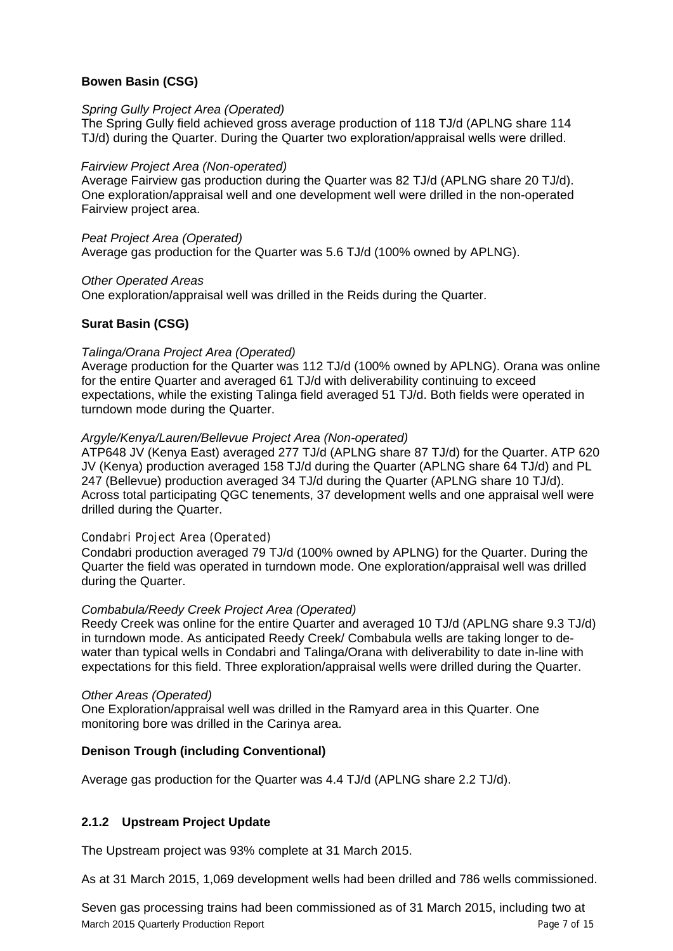# **Bowen Basin (CSG)**

#### *Spring Gully Project Area (Operated)*

The Spring Gully field achieved gross average production of 118 TJ/d (APLNG share 114 TJ/d) during the Quarter. During the Quarter two exploration/appraisal wells were drilled.

#### *Fairview Project Area (Non-operated)*

Average Fairview gas production during the Quarter was 82 TJ/d (APLNG share 20 TJ/d). One exploration/appraisal well and one development well were drilled in the non-operated Fairview project area.

#### *Peat Project Area (Operated)*

Average gas production for the Quarter was 5.6 TJ/d (100% owned by APLNG).

#### *Other Operated Areas*

One exploration/appraisal well was drilled in the Reids during the Quarter.

# **Surat Basin (CSG)**

#### *Talinga/Orana Project Area (Operated)*

Average production for the Quarter was 112 TJ/d (100% owned by APLNG). Orana was online for the entire Quarter and averaged 61 TJ/d with deliverability continuing to exceed expectations, while the existing Talinga field averaged 51 TJ/d. Both fields were operated in turndown mode during the Quarter.

# *Argyle/Kenya/Lauren/Bellevue Project Area (Non-operated)*

ATP648 JV (Kenya East) averaged 277 TJ/d (APLNG share 87 TJ/d) for the Quarter. ATP 620 JV (Kenya) production averaged 158 TJ/d during the Quarter (APLNG share 64 TJ/d) and PL 247 (Bellevue) production averaged 34 TJ/d during the Quarter (APLNG share 10 TJ/d). Across total participating QGC tenements, 37 development wells and one appraisal well were drilled during the Quarter.

# *Condabri Project Area (Operated)*

Condabri production averaged 79 TJ/d (100% owned by APLNG) for the Quarter. During the Quarter the field was operated in turndown mode. One exploration/appraisal well was drilled during the Quarter.

# *Combabula/Reedy Creek Project Area (Operated)*

Reedy Creek was online for the entire Quarter and averaged 10 TJ/d (APLNG share 9.3 TJ/d) in turndown mode. As anticipated Reedy Creek/ Combabula wells are taking longer to dewater than typical wells in Condabri and Talinga/Orana with deliverability to date in-line with expectations for this field. Three exploration/appraisal wells were drilled during the Quarter.

#### *Other Areas (Operated)*

One Exploration/appraisal well was drilled in the Ramyard area in this Quarter. One monitoring bore was drilled in the Carinya area.

# **Denison Trough (including Conventional)**

Average gas production for the Quarter was 4.4 TJ/d (APLNG share 2.2 TJ/d).

# **2.1.2 Upstream Project Update**

The Upstream project was 93% complete at 31 March 2015.

As at 31 March 2015, 1,069 development wells had been drilled and 786 wells commissioned.

March 2015 Quarterly Production Report **Page 7 of 15** and 2015 Outstanding Page 7 of 15 Seven gas processing trains had been commissioned as of 31 March 2015, including two at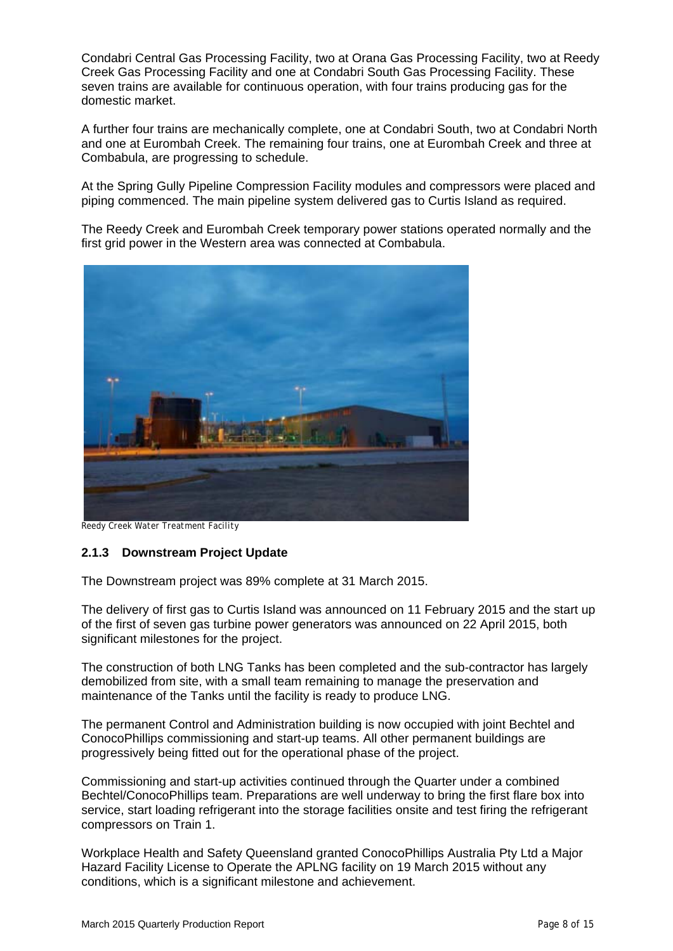Condabri Central Gas Processing Facility, two at Orana Gas Processing Facility, two at Reedy Creek Gas Processing Facility and one at Condabri South Gas Processing Facility. These seven trains are available for continuous operation, with four trains producing gas for the domestic market.

A further four trains are mechanically complete, one at Condabri South, two at Condabri North and one at Eurombah Creek. The remaining four trains, one at Eurombah Creek and three at Combabula, are progressing to schedule.

At the Spring Gully Pipeline Compression Facility modules and compressors were placed and piping commenced. The main pipeline system delivered gas to Curtis Island as required.

The Reedy Creek and Eurombah Creek temporary power stations operated normally and the first grid power in the Western area was connected at Combabula.



*Reedy Creek Water Treatment Facility* 

#### **2.1.3 Downstream Project Update**

The Downstream project was 89% complete at 31 March 2015.

The delivery of first gas to Curtis Island was announced on 11 February 2015 and the start up of the first of seven gas turbine power generators was announced on 22 April 2015, both significant milestones for the project.

The construction of both LNG Tanks has been completed and the sub-contractor has largely demobilized from site, with a small team remaining to manage the preservation and maintenance of the Tanks until the facility is ready to produce LNG.

The permanent Control and Administration building is now occupied with joint Bechtel and ConocoPhillips commissioning and start-up teams. All other permanent buildings are progressively being fitted out for the operational phase of the project.

Commissioning and start-up activities continued through the Quarter under a combined Bechtel/ConocoPhillips team. Preparations are well underway to bring the first flare box into service, start loading refrigerant into the storage facilities onsite and test firing the refrigerant compressors on Train 1.

Workplace Health and Safety Queensland granted ConocoPhillips Australia Pty Ltd a Major Hazard Facility License to Operate the APLNG facility on 19 March 2015 without any conditions, which is a significant milestone and achievement.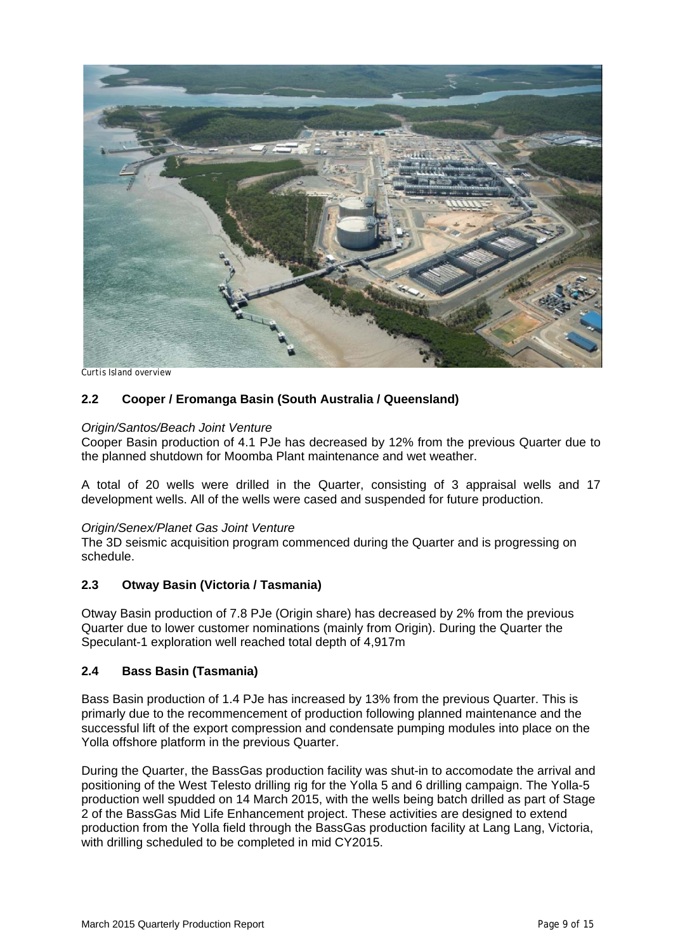

*Curtis Island overview* 

# **2.2 Cooper / Eromanga Basin (South Australia / Queensland)**

#### *Origin/Santos/Beach Joint Venture*

Cooper Basin production of 4.1 PJe has decreased by 12% from the previous Quarter due to the planned shutdown for Moomba Plant maintenance and wet weather.

A total of 20 wells were drilled in the Quarter, consisting of 3 appraisal wells and 17 development wells. All of the wells were cased and suspended for future production.

#### *Origin/Senex/Planet Gas Joint Venture*

The 3D seismic acquisition program commenced during the Quarter and is progressing on schedule.

#### **2.3 Otway Basin (Victoria / Tasmania)**

Otway Basin production of 7.8 PJe (Origin share) has decreased by 2% from the previous Quarter due to lower customer nominations (mainly from Origin). During the Quarter the Speculant-1 exploration well reached total depth of 4,917m

#### **2.4 Bass Basin (Tasmania)**

Bass Basin production of 1.4 PJe has increased by 13% from the previous Quarter. This is primarly due to the recommencement of production following planned maintenance and the successful lift of the export compression and condensate pumping modules into place on the Yolla offshore platform in the previous Quarter.

During the Quarter, the BassGas production facility was shut-in to accomodate the arrival and positioning of the West Telesto drilling rig for the Yolla 5 and 6 drilling campaign. The Yolla-5 production well spudded on 14 March 2015, with the wells being batch drilled as part of Stage 2 of the BassGas Mid Life Enhancement project. These activities are designed to extend production from the Yolla field through the BassGas production facility at Lang Lang, Victoria, with drilling scheduled to be completed in mid CY2015.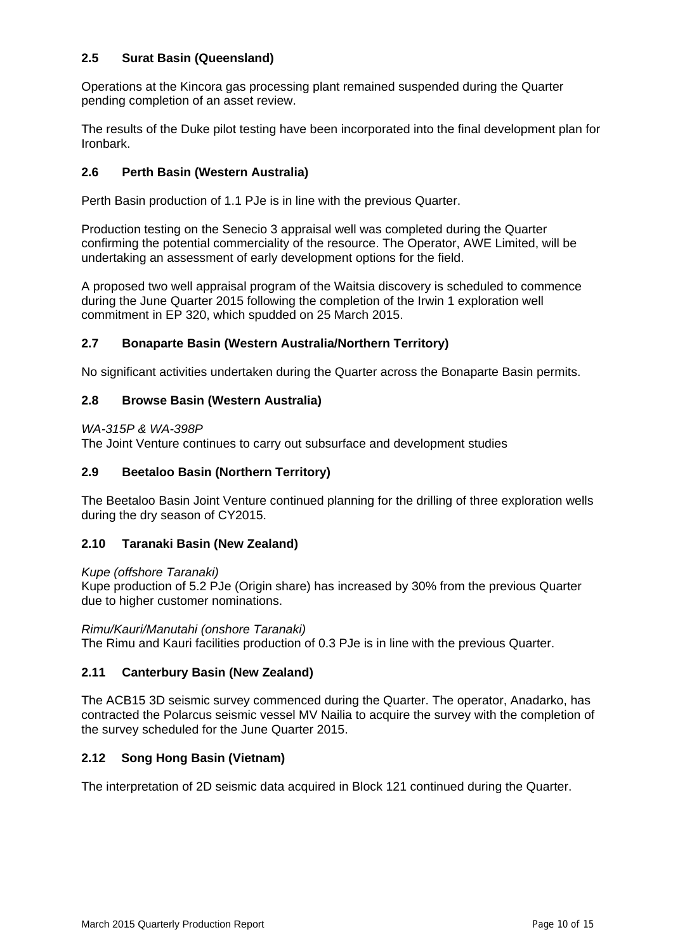# **2.5 Surat Basin (Queensland)**

Operations at the Kincora gas processing plant remained suspended during the Quarter pending completion of an asset review.

The results of the Duke pilot testing have been incorporated into the final development plan for Ironbark.

#### **2.6 Perth Basin (Western Australia)**

Perth Basin production of 1.1 PJe is in line with the previous Quarter.

Production testing on the Senecio 3 appraisal well was completed during the Quarter confirming the potential commerciality of the resource. The Operator, AWE Limited, will be undertaking an assessment of early development options for the field.

A proposed two well appraisal program of the Waitsia discovery is scheduled to commence during the June Quarter 2015 following the completion of the Irwin 1 exploration well commitment in EP 320, which spudded on 25 March 2015.

#### **2.7 Bonaparte Basin (Western Australia/Northern Territory)**

No significant activities undertaken during the Quarter across the Bonaparte Basin permits.

#### **2.8 Browse Basin (Western Australia)**

#### *WA-315P & WA-398P*

The Joint Venture continues to carry out subsurface and development studies

#### **2.9 Beetaloo Basin (Northern Territory)**

The Beetaloo Basin Joint Venture continued planning for the drilling of three exploration wells during the dry season of CY2015.

#### **2.10 Taranaki Basin (New Zealand)**

*Kupe (offshore Taranaki)* 

Kupe production of 5.2 PJe (Origin share) has increased by 30% from the previous Quarter due to higher customer nominations.

*Rimu/Kauri/Manutahi (onshore Taranaki)*  The Rimu and Kauri facilities production of 0.3 PJe is in line with the previous Quarter.

#### **2.11 Canterbury Basin (New Zealand)**

The ACB15 3D seismic survey commenced during the Quarter. The operator, Anadarko, has contracted the Polarcus seismic vessel MV Nailia to acquire the survey with the completion of the survey scheduled for the June Quarter 2015.

#### **2.12 Song Hong Basin (Vietnam)**

The interpretation of 2D seismic data acquired in Block 121 continued during the Quarter.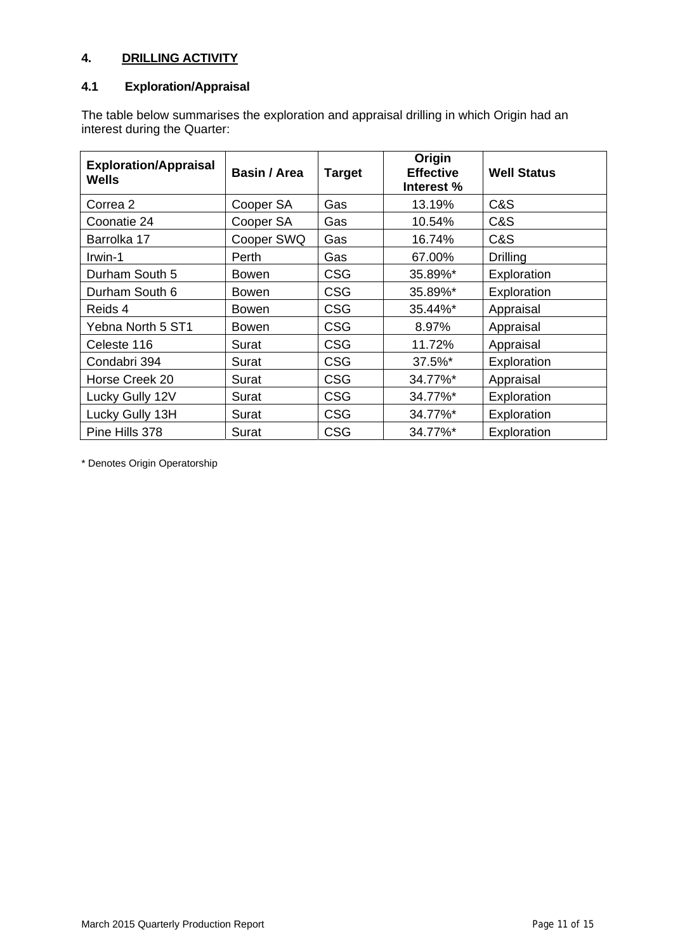# **4. DRILLING ACTIVITY**

#### **4.1 Exploration/Appraisal**

The table below summarises the exploration and appraisal drilling in which Origin had an interest during the Quarter:

| <b>Exploration/Appraisal</b><br>Wells | Basin / Area | <b>Target</b> | Origin<br><b>Effective</b><br>Interest % | <b>Well Status</b> |
|---------------------------------------|--------------|---------------|------------------------------------------|--------------------|
| Correa 2                              | Cooper SA    | Gas           | 13.19%                                   | C&S                |
| Coonatie 24                           | Cooper SA    | Gas           | 10.54%                                   | C&S                |
| Barrolka 17                           | Cooper SWQ   | Gas           | 16.74%                                   | C&S                |
| Irwin-1                               | Perth        | Gas           | 67.00%                                   | <b>Drilling</b>    |
| Durham South 5                        | <b>Bowen</b> | <b>CSG</b>    | 35.89%*                                  | Exploration        |
| Durham South 6                        | Bowen        | <b>CSG</b>    | 35.89%*                                  | Exploration        |
| Reids 4                               | <b>Bowen</b> | <b>CSG</b>    | 35.44%*                                  | Appraisal          |
| Yebna North 5 ST1                     | <b>Bowen</b> | <b>CSG</b>    | 8.97%                                    | Appraisal          |
| Celeste 116                           | Surat        | <b>CSG</b>    | 11.72%                                   | Appraisal          |
| Condabri 394                          | Surat        | <b>CSG</b>    | 37.5%*                                   | Exploration        |
| Horse Creek 20                        | Surat        | <b>CSG</b>    | 34.77%*                                  | Appraisal          |
| Lucky Gully 12V                       | Surat        | <b>CSG</b>    | 34.77%*                                  | Exploration        |
| Lucky Gully 13H                       | Surat        | <b>CSG</b>    | 34.77%*                                  | Exploration        |
| Pine Hills 378                        | Surat        | <b>CSG</b>    | 34.77%*                                  | Exploration        |

\* Denotes Origin Operatorship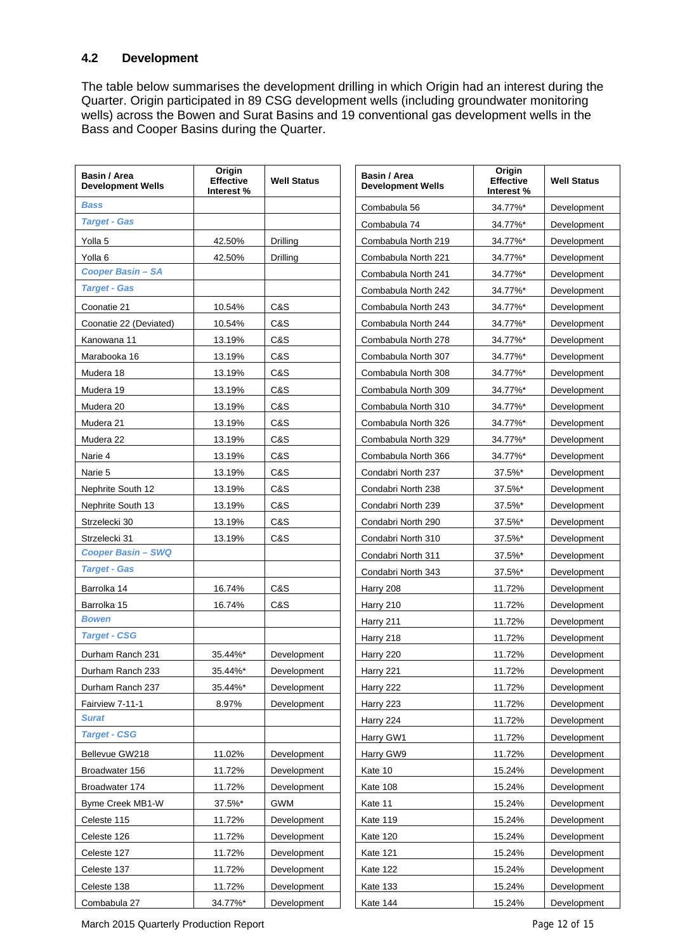# **4.2 Development**

The table below summarises the development drilling in which Origin had an interest during the Quarter. Origin participated in 89 CSG development wells (including groundwater monitoring wells) across the Bowen and Surat Basins and 19 conventional gas development wells in the Bass and Cooper Basins during the Quarter.

| Basin / Area<br><b>Development Wells</b> | Origin<br><b>Effective</b><br>Interest % | <b>Well Status</b> | Basin / Area<br><b>Development Wells</b> | Origin<br><b>Effective</b><br>Interest % | <b>Well Status</b> |  |
|------------------------------------------|------------------------------------------|--------------------|------------------------------------------|------------------------------------------|--------------------|--|
| <b>Bass</b>                              |                                          |                    | Combabula 56                             | 34.77%*                                  | Development        |  |
| <b>Target - Gas</b>                      |                                          |                    | Combabula 74                             | 34.77%*                                  |                    |  |
| Yolla 5                                  | 42.50%                                   | Drilling           | Combabula North 219                      | 34.77%*                                  | Development        |  |
| Yolla <sub>6</sub>                       | 42.50%                                   | Drilling           | Combabula North 221                      | 34.77%*                                  | Development        |  |
| <b>Cooper Basin - SA</b>                 |                                          |                    | Combabula North 241                      | 34.77%*                                  | Development        |  |
| <b>Target - Gas</b>                      |                                          |                    | Combabula North 242                      | 34.77%*                                  | Development        |  |
| Coonatie 21                              | 10.54%                                   | C&S                | Combabula North 243                      | 34.77%*                                  | Development        |  |
| Coonatie 22 (Deviated)                   | 10.54%                                   | C&S                | Combabula North 244                      | 34.77%*                                  | Development        |  |
| Kanowana 11                              | 13.19%                                   | C&S                | Combabula North 278                      | 34.77%*                                  | Development        |  |
| Marabooka 16                             | 13.19%                                   | C&S                | Combabula North 307                      | 34.77%*                                  | Development        |  |
| Mudera 18                                | 13.19%                                   | C&S                | Combabula North 308                      | 34.77%*                                  | Development        |  |
| Mudera 19                                | 13.19%                                   | C&S                | Combabula North 309                      | 34.77%*                                  | Development        |  |
| Mudera 20                                | 13.19%                                   | C&S                | Combabula North 310                      | 34.77%*                                  | Development        |  |
| Mudera 21                                | 13.19%                                   | C&S                | Combabula North 326                      | 34.77%*                                  | Development        |  |
| Mudera 22                                | 13.19%                                   | C&S                | Combabula North 329                      | 34.77%*                                  | Development        |  |
| Narie 4                                  | 13.19%                                   | C&S                | Combabula North 366                      | 34.77%*                                  | Development        |  |
| Narie 5                                  | 13.19%                                   | C&S                | Condabri North 237                       | 37.5%*                                   | Development        |  |
| Nephrite South 12                        | 13.19%                                   | C&S                | Condabri North 238                       | 37.5%*                                   | Development        |  |
| Nephrite South 13                        | 13.19%                                   | C&S                | Condabri North 239                       | 37.5%*                                   | Development        |  |
| Strzelecki 30                            | 13.19%                                   | C&S                | Condabri North 290                       | 37.5%*                                   | Development        |  |
| Strzelecki 31                            | 13.19%                                   | C&S                | Condabri North 310                       | 37.5%*                                   | Development        |  |
| <b>Cooper Basin - SWQ</b>                |                                          |                    | Condabri North 311                       | 37.5%*                                   | Development        |  |
| <b>Target - Gas</b>                      |                                          |                    | Condabri North 343                       | 37.5%*                                   | Development        |  |
| Barrolka 14                              | 16.74%                                   | C&S                | Harry 208                                | 11.72%                                   | Development        |  |
| Barrolka 15                              | 16.74%                                   | C&S                | Harry 210                                | 11.72%                                   | Development        |  |
| <b>Bowen</b>                             |                                          |                    | Harry 211                                | 11.72%                                   | Development        |  |
| <b>Target - CSG</b>                      |                                          |                    | Harry 218                                | 11.72%                                   | Development        |  |
| Durham Ranch 231                         | 35.44%*                                  | Development        | Harry 220                                | 11.72%                                   | Development        |  |
| Durham Ranch 233                         | 35.44%*                                  | Development        | Harry 221                                | 11.72%                                   | Development        |  |
| Durham Ranch 237                         | 35.44%*                                  | Development        | Harry 222                                | 11.72%                                   | Development        |  |
| Fairview 7-11-1                          | 8.97%                                    | Development        | Harry 223                                | 11.72%                                   | Development        |  |
| <b>Surat</b>                             |                                          |                    | Harry 224                                | 11.72%                                   | Development        |  |
| <b>Target - CSG</b>                      |                                          |                    | Harry GW1                                | 11.72%                                   | Development        |  |
| Bellevue GW218                           | 11.02%                                   | Development        | Harry GW9                                | 11.72%                                   | Development        |  |
| Broadwater 156                           | 11.72%                                   | Development        | Kate 10                                  | 15.24%                                   | Development        |  |
| Broadwater 174                           | 11.72%                                   | Development        | Kate 108                                 | 15.24%                                   | Development        |  |
| Byme Creek MB1-W                         | 37.5%*                                   | GWM                | Kate 11                                  | 15.24%                                   | Development        |  |
| Celeste 115                              | 11.72%                                   | Development        | Kate 119                                 | 15.24%                                   | Development        |  |
| Celeste 126                              | 11.72%                                   | Development        | Kate 120                                 | 15.24%                                   | Development        |  |
| Celeste 127                              | 11.72%                                   | Development        | Kate 121                                 | 15.24%                                   | Development        |  |
| Celeste 137                              | 11.72%                                   | Development        | Kate 122                                 | 15.24%                                   | Development        |  |
| Celeste 138                              | 11.72%                                   | Development        | Kate 133                                 | 15.24%                                   | Development        |  |
| Combabula 27                             | 34.77%*                                  | Development        | <b>Kate 144</b>                          | 15.24%                                   | Development        |  |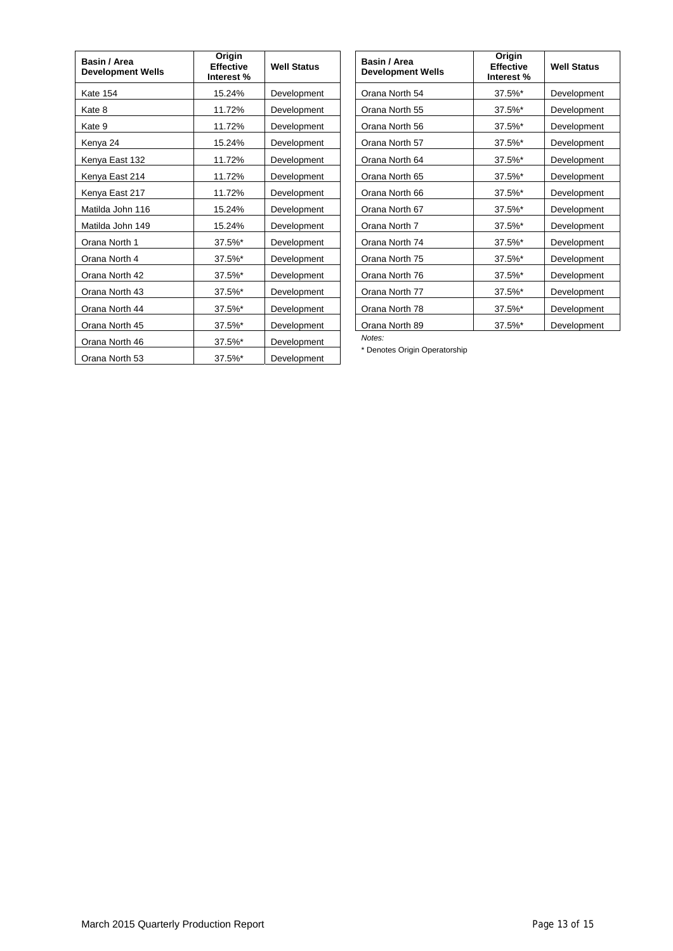| Basin / Area<br><b>Development Wells</b> | Origin<br><b>Effective</b><br>Interest % | <b>Well Status</b> |
|------------------------------------------|------------------------------------------|--------------------|
| Kate 154                                 | 15.24%                                   | Development        |
| Kate 8                                   | 11.72%                                   | Development        |
| Kate 9                                   | 11.72%                                   | Development        |
| Kenya 24                                 | 15.24%                                   | Development        |
| Kenya East 132                           | 11.72%                                   | Development        |
| Kenya East 214                           | 11.72%                                   | Development        |
| Kenya East 217                           | 11.72%                                   | Development        |
| Matilda John 116                         | 15.24%                                   | Development        |
| Matilda John 149                         | 15.24%                                   | Development        |
| Orana North 1                            | 37.5%*                                   | Development        |
| Orana North 4                            | 37.5%*                                   | Development        |
| Orana North 42                           | 37.5%*                                   | Development        |
| Orana North 43                           | 37.5%*                                   | Development        |
| Orana North 44                           | 37.5%*                                   | Development        |
| Orana North 45                           | 37.5%*                                   | <b>Development</b> |
| Orana North 46                           | 37.5%*                                   | Development        |
| Orana North 53                           | 37.5%*                                   | Development        |

| Basin / Area<br><b>Development Wells</b> | Origin<br><b>Effective</b><br>Interest % | <b>Well Status</b> |
|------------------------------------------|------------------------------------------|--------------------|
| Orana North 54                           | 37.5%*                                   | Development        |
| Orana North 55                           | 37.5%*                                   | Development        |
| Orana North 56                           | 37.5%*                                   | Development        |
| Orana North 57                           | 37.5%*                                   | Development        |
| Orana North 64                           | 37.5%*                                   | Development        |
| Orana North 65                           | 37.5%*                                   | Development        |
| Orana North 66                           | 37.5%*                                   | Development        |
| Orana North 67                           | 37.5%*                                   | Development        |
| Orana North 7                            | 37.5%*                                   | Development        |
| Orana North 74                           | 37.5%*                                   | Development        |
| Orana North 75                           | 37.5%*                                   | Development        |
| Orana North 76                           | 37.5%*                                   | Development        |
| Orana North 77                           | 37.5%*                                   | Development        |
| Orana North 78                           | 37.5%*                                   | Development        |
| Orana North 89                           | 37.5%*                                   | Development        |

*Notes:* 

\* Denotes Origin Operatorship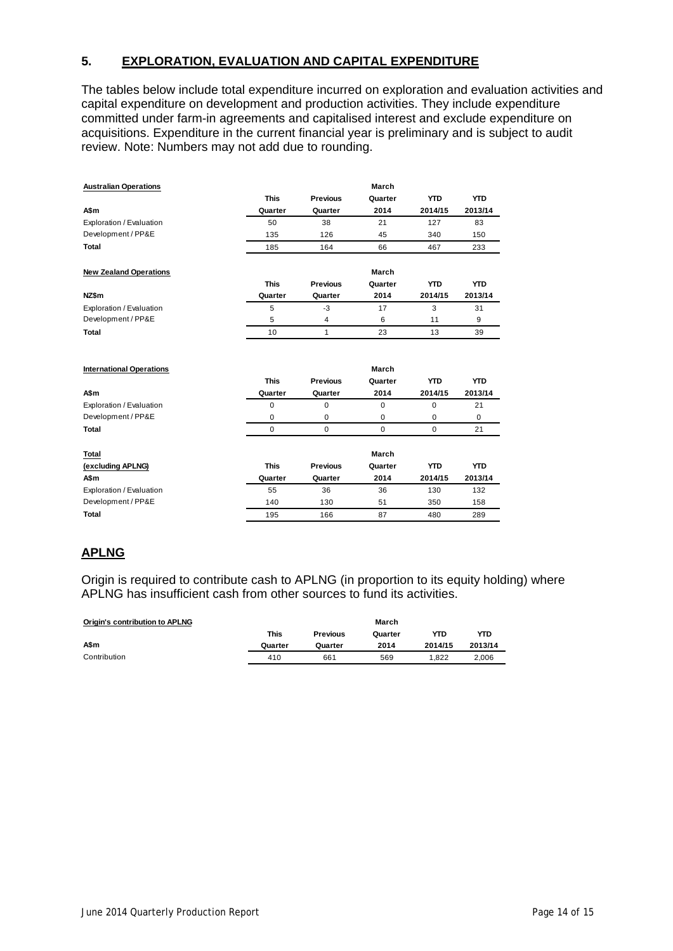# **5. EXPLORATION, EVALUATION AND CAPITAL EXPENDITURE**

The tables below include total expenditure incurred on exploration and evaluation activities and capital expenditure on development and production activities. They include expenditure committed under farm-in agreements and capitalised interest and exclude expenditure on acquisitions. Expenditure in the current financial year is preliminary and is subject to audit review. Note: Numbers may not add due to rounding.

| <b>Australian Operations</b>    |             |                 | March       |             |             |
|---------------------------------|-------------|-----------------|-------------|-------------|-------------|
|                                 | <b>This</b> | <b>Previous</b> | Quarter     | <b>YTD</b>  | <b>YTD</b>  |
| A\$m                            | Quarter     | Quarter         | 2014        | 2014/15     | 2013/14     |
| Exploration / Evaluation        | 50          | 38              | 21          | 127         | 83          |
| Development / PP&E              | 135         | 126             | 45          | 340         | 150         |
| <b>Total</b>                    | 185         | 164             | 66          | 467         | 233         |
| <b>New Zealand Operations</b>   |             |                 | March       |             |             |
|                                 | <b>This</b> | Previous        | Quarter     | <b>YTD</b>  | <b>YTD</b>  |
| NZ\$m                           | Quarter     | Quarter         | 2014        | 2014/15     | 2013/14     |
| Exploration / Evaluation        | 5           | $-3$            | 17          | 3           | 31          |
| Development / PP&E              | 5           | 4               | 6           | 11          | 9           |
| <b>Total</b>                    | 10          | 1               | 23          | 13          | 39          |
| <b>International Operations</b> |             |                 | March       |             |             |
|                                 | <b>This</b> | Previous        | Quarter     | <b>YTD</b>  | <b>YTD</b>  |
| A\$m                            | Quarter     | Quarter         | 2014        | 2014/15     | 2013/14     |
| Exploration / Evaluation        | 0           | 0               | $\mathbf 0$ | $\mathbf 0$ | 21          |
| Development / PP&E              | 0           | 0               | $\mathbf 0$ | $\mathbf 0$ | $\mathbf 0$ |
| <b>Total</b>                    | $\mathbf 0$ | $\mathbf 0$     | $\mathbf 0$ | $\mathbf 0$ | 21          |
| <b>Total</b>                    |             |                 | March       |             |             |
| (excluding APLNG)               | <b>This</b> | <b>Previous</b> | Quarter     | <b>YTD</b>  | <b>YTD</b>  |
| A\$m                            | Quarter     | Quarter         | 2014        | 2014/15     | 2013/14     |
| Exploration / Evaluation        | 55          | 36              | 36          | 130         | 132         |
| Development / PP&E              | 140         | 130             | 51          | 350         | 158         |
| <b>Total</b>                    | 195         | 166             | 87          | 480         | 289         |
|                                 |             |                 |             |             |             |

# **APLNG**

Origin is required to contribute cash to APLNG (in proportion to its equity holding) where APLNG has insufficient cash from other sources to fund its activities.

| Origin's contribution to APLNG |         |                 | March   |         |         |
|--------------------------------|---------|-----------------|---------|---------|---------|
|                                | This    | <b>Previous</b> | Quarter | YTD     | YTD     |
| A\$m                           | Quarter | Quarter         | 2014    | 2014/15 | 2013/14 |
| Contribution                   | 410     | 661             | 569     | 1.822   | 2.006   |